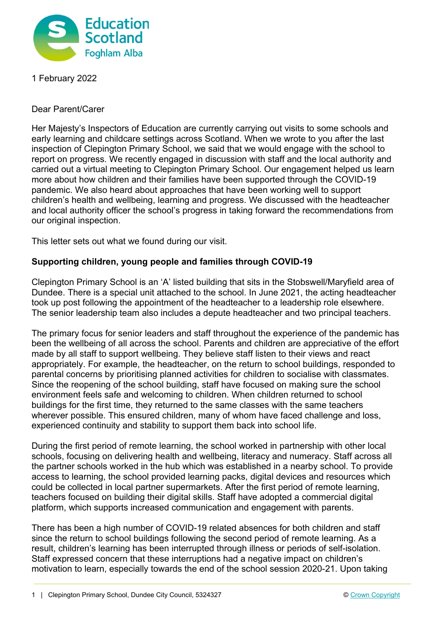

1 February 2022

Dear Parent/Carer

Her Majesty's Inspectors of Education are currently carrying out visits to some schools and early learning and childcare settings across Scotland. When we wrote to you after the last inspection of Clepington Primary School, we said that we would engage with the school to report on progress. We recently engaged in discussion with staff and the local authority and carried out a virtual meeting to Clepington Primary School. Our engagement helped us learn more about how children and their families have been supported through the COVID-19 pandemic. We also heard about approaches that have been working well to support children's health and wellbeing, learning and progress. We discussed with the headteacher and local authority officer the school's progress in taking forward the recommendations from our original inspection.

This letter sets out what we found during our visit.

## **Supporting children, young people and families through COVID-19**

Clepington Primary School is an 'A' listed building that sits in the Stobswell/Maryfield area of Dundee. There is a special unit attached to the school. In June 2021, the acting headteacher took up post following the appointment of the headteacher to a leadership role elsewhere. The senior leadership team also includes a depute headteacher and two principal teachers.

The primary focus for senior leaders and staff throughout the experience of the pandemic has been the wellbeing of all across the school. Parents and children are appreciative of the effort made by all staff to support wellbeing. They believe staff listen to their views and react appropriately. For example, the headteacher, on the return to school buildings, responded to parental concerns by prioritising planned activities for children to socialise with classmates. Since the reopening of the school building, staff have focused on making sure the school environment feels safe and welcoming to children. When children returned to school buildings for the first time, they returned to the same classes with the same teachers wherever possible. This ensured children, many of whom have faced challenge and loss, experienced continuity and stability to support them back into school life.

During the first period of remote learning, the school worked in partnership with other local schools, focusing on delivering health and wellbeing, literacy and numeracy. Staff across all the partner schools worked in the hub which was established in a nearby school. To provide access to learning, the school provided learning packs, digital devices and resources which could be collected in local partner supermarkets. After the first period of remote learning, teachers focused on building their digital skills. Staff have adopted a commercial digital platform, which supports increased communication and engagement with parents.

There has been a high number of COVID-19 related absences for both children and staff since the return to school buildings following the second period of remote learning. As a result, children's learning has been interrupted through illness or periods of self-isolation. Staff expressed concern that these interruptions had a negative impact on children's motivation to learn, especially towards the end of the school session 2020-21. Upon taking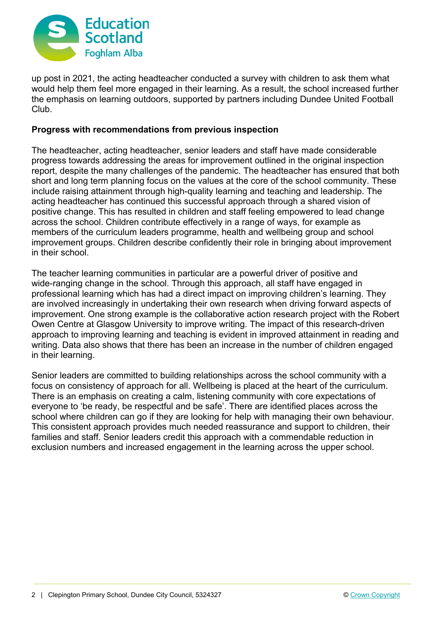

up post in 2021, the acting headteacher conducted a survey with children to ask them what would help them feel more engaged in their learning. As a result, the school increased further the emphasis on learning outdoors, supported by partners including Dundee United Football Club.

## **Progress with recommendations from previous inspection**

The headteacher, acting headteacher, senior leaders and staff have made considerable progress towards addressing the areas for improvement outlined in the original inspection report, despite the many challenges of the pandemic. The headteacher has ensured that both short and long term planning focus on the values at the core of the school community. These include raising attainment through high-quality learning and teaching and leadership. The acting headteacher has continued this successful approach through a shared vision of positive change. This has resulted in children and staff feeling empowered to lead change across the school. Children contribute effectively in a range of ways, for example as members of the curriculum leaders programme, health and wellbeing group and school improvement groups. Children describe confidently their role in bringing about improvement in their school.

The teacher learning communities in particular are a powerful driver of positive and wide-ranging change in the school. Through this approach, all staff have engaged in professional learning which has had a direct impact on improving children's learning. They are involved increasingly in undertaking their own research when driving forward aspects of improvement. One strong example is the collaborative action research project with the Robert Owen Centre at Glasgow University to improve writing. The impact of this research-driven approach to improving learning and teaching is evident in improved attainment in reading and writing. Data also shows that there has been an increase in the number of children engaged in their learning.

Senior leaders are committed to building relationships across the school community with a focus on consistency of approach for all. Wellbeing is placed at the heart of the curriculum. There is an emphasis on creating a calm, listening community with core expectations of everyone to 'be ready, be respectful and be safe'. There are identified places across the school where children can go if they are looking for help with managing their own behaviour. This consistent approach provides much needed reassurance and support to children, their families and staff. Senior leaders credit this approach with a commendable reduction in exclusion numbers and increased engagement in the learning across the upper school.